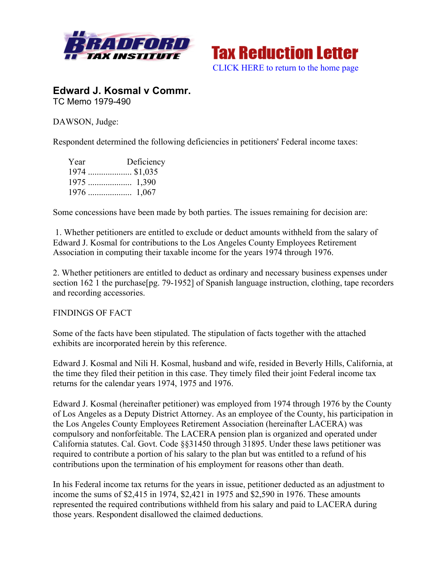



**Edward J. Kosmal v Commr.** TC Memo 1979-490

DAWSON, Judge:

Respondent determined the following deficiencies in petitioners' Federal income taxes:

| Year | Deficiency     |
|------|----------------|
|      | $1974$ \$1,035 |
|      |                |
|      |                |

Some concessions have been made by both parties. The issues remaining for decision are:

1. Whether petitioners are entitled to exclude or deduct amounts withheld from the salary of Edward J. Kosmal for contributions to the Los Angeles County Employees Retirement Association in computing their taxable income for the years 1974 through 1976.

2. Whether petitioners are entitled to deduct as ordinary and necessary business expenses under section 162 1 the purchase [pg. 79-1952] of Spanish language instruction, clothing, tape recorders and recording accessories.

FINDINGS OF FACT

Some of the facts have been stipulated. The stipulation of facts together with the attached exhibits are incorporated herein by this reference.

Edward J. Kosmal and Nili H. Kosmal, husband and wife, resided in Beverly Hills, California, at the time they filed their petition in this case. They timely filed their joint Federal income tax returns for the calendar years 1974, 1975 and 1976.

Edward J. Kosmal (hereinafter petitioner) was employed from 1974 through 1976 by the County of Los Angeles as a Deputy District Attorney. As an employee of the County, his participation in the Los Angeles County Employees Retirement Association (hereinafter LACERA) was compulsory and nonforfeitable. The LACERA pension plan is organized and operated under California statutes. Cal. Govt. Code §§31450 through 31895. Under these laws petitioner was required to contribute a portion of his salary to the plan but was entitled to a refund of his contributions upon the termination of his employment for reasons other than death.

In his Federal income tax returns for the years in issue, petitioner deducted as an adjustment to income the sums of \$2,415 in 1974, \$2,421 in 1975 and \$2,590 in 1976. These amounts represented the required contributions withheld from his salary and paid to LACERA during those years. Respondent disallowed the claimed deductions.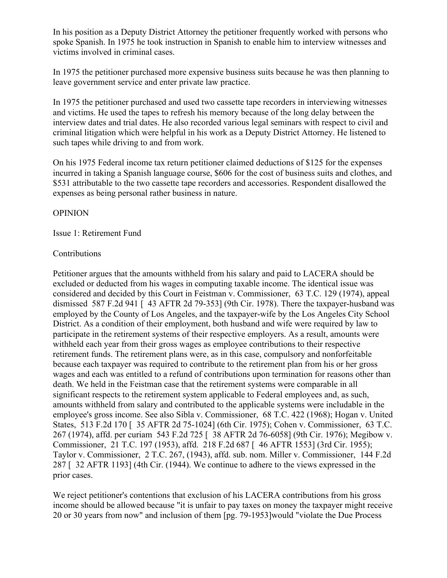In his position as a Deputy District Attorney the petitioner frequently worked with persons who spoke Spanish. In 1975 he took instruction in Spanish to enable him to interview witnesses and victims involved in criminal cases.

In 1975 the petitioner purchased more expensive business suits because he was then planning to leave government service and enter private law practice.

In 1975 the petitioner purchased and used two cassette tape recorders in interviewing witnesses and victims. He used the tapes to refresh his memory because of the long delay between the interview dates and trial dates. He also recorded various legal seminars with respect to civil and criminal litigation which were helpful in his work as a Deputy District Attorney. He listened to such tapes while driving to and from work.

On his 1975 Federal income tax return petitioner claimed deductions of \$125 for the expenses incurred in taking a Spanish language course, \$606 for the cost of business suits and clothes, and \$531 attributable to the two cassette tape recorders and accessories. Respondent disallowed the expenses as being personal rather business in nature.

# OPINION

Issue 1: Retirement Fund

# Contributions

Petitioner argues that the amounts withheld from his salary and paid to LACERA should be excluded or deducted from his wages in computing taxable income. The identical issue was considered and decided by this Court in Feistman v. Commissioner, 63 T.C. 129 (1974), appeal dismissed 587 F.2d 941 [ 43 AFTR 2d 79-353] (9th Cir. 1978). There the taxpayer-husband was employed by the County of Los Angeles, and the taxpayer-wife by the Los Angeles City School District. As a condition of their employment, both husband and wife were required by law to participate in the retirement systems of their respective employers. As a result, amounts were withheld each year from their gross wages as employee contributions to their respective retirement funds. The retirement plans were, as in this case, compulsory and nonforfeitable because each taxpayer was required to contribute to the retirement plan from his or her gross wages and each was entitled to a refund of contributions upon termination for reasons other than death. We held in the Feistman case that the retirement systems were comparable in all significant respects to the retirement system applicable to Federal employees and, as such, amounts withheld from salary and contributed to the applicable systems were includable in the employee's gross income. See also Sibla v. Commissioner, 68 T.C. 422 (1968); Hogan v. United States, 513 F.2d 170 [ 35 AFTR 2d 75-1024] (6th Cir. 1975); Cohen v. Commissioner, 63 T.C. 267 (1974), affd. per curiam 543 F.2d 725 [ 38 AFTR 2d 76-6058] (9th Cir. 1976); Megibow v. Commissioner, 21 T.C. 197 (1953), affd. 218 F.2d 687 [ 46 AFTR 1553] (3rd Cir. 1955); Taylor v. Commissioner, 2 T.C. 267, (1943), affd. sub. nom. Miller v. Commissioner, 144 F.2d 287 [ 32 AFTR 1193] (4th Cir. (1944). We continue to adhere to the views expressed in the prior cases.

We reject petitioner's contentions that exclusion of his LACERA contributions from his gross income should be allowed because "it is unfair to pay taxes on money the taxpayer might receive 20 or 30 years from now" and inclusion of them [pg. 79-1953]would "violate the Due Process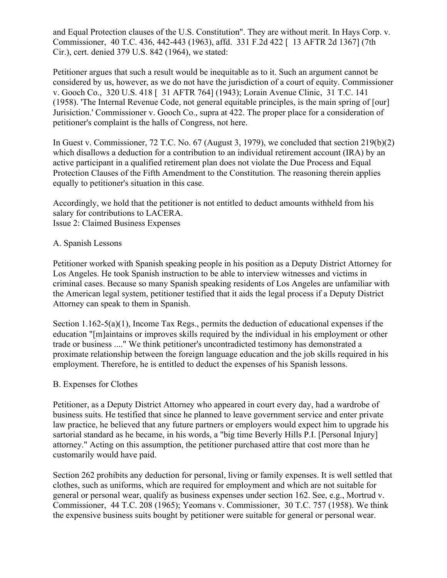and Equal Protection clauses of the U.S. Constitution". They are without merit. In Hays Corp. v. Commissioner, 40 T.C. 436, 442-443 (1963), affd. 331 F.2d 422 [ 13 AFTR 2d 1367] (7th Cir.), cert. denied 379 U.S. 842 (1964), we stated:

Petitioner argues that such a result would be inequitable as to it. Such an argument cannot be considered by us, however, as we do not have the jurisdiction of a court of equity. Commissioner v. Gooch Co., 320 U.S. 418 [ 31 AFTR 764] (1943); Lorain Avenue Clinic, 31 T.C. 141 (1958). 'The Internal Revenue Code, not general equitable principles, is the main spring of [our] Jurisiction.' Commissioner v. Gooch Co., supra at 422. The proper place for a consideration of petitioner's complaint is the halls of Congress, not here.

In Guest v. Commissioner, 72 T.C. No. 67 (August 3, 1979), we concluded that section 219(b)(2) which disallows a deduction for a contribution to an individual retirement account (IRA) by an active participant in a qualified retirement plan does not violate the Due Process and Equal Protection Clauses of the Fifth Amendment to the Constitution. The reasoning therein applies equally to petitioner's situation in this case.

Accordingly, we hold that the petitioner is not entitled to deduct amounts withheld from his salary for contributions to LACERA. Issue 2: Claimed Business Expenses

# A. Spanish Lessons

Petitioner worked with Spanish speaking people in his position as a Deputy District Attorney for Los Angeles. He took Spanish instruction to be able to interview witnesses and victims in criminal cases. Because so many Spanish speaking residents of Los Angeles are unfamiliar with the American legal system, petitioner testified that it aids the legal process if a Deputy District Attorney can speak to them in Spanish.

Section 1.162-5(a)(1), Income Tax Regs., permits the deduction of educational expenses if the education "[m]aintains or improves skills required by the individual in his employment or other trade or business ...." We think petitioner's uncontradicted testimony has demonstrated a proximate relationship between the foreign language education and the job skills required in his employment. Therefore, he is entitled to deduct the expenses of his Spanish lessons.

### B. Expenses for Clothes

Petitioner, as a Deputy District Attorney who appeared in court every day, had a wardrobe of business suits. He testified that since he planned to leave government service and enter private law practice, he believed that any future partners or employers would expect him to upgrade his sartorial standard as he became, in his words, a "big time Beverly Hills P.I. [Personal Injury] attorney." Acting on this assumption, the petitioner purchased attire that cost more than he customarily would have paid.

Section 262 prohibits any deduction for personal, living or family expenses. It is well settled that clothes, such as uniforms, which are required for employment and which are not suitable for general or personal wear, qualify as business expenses under section 162. See, e.g., Mortrud v. Commissioner, 44 T.C. 208 (1965); Yeomans v. Commissioner, 30 T.C. 757 (1958). We think the expensive business suits bought by petitioner were suitable for general or personal wear.